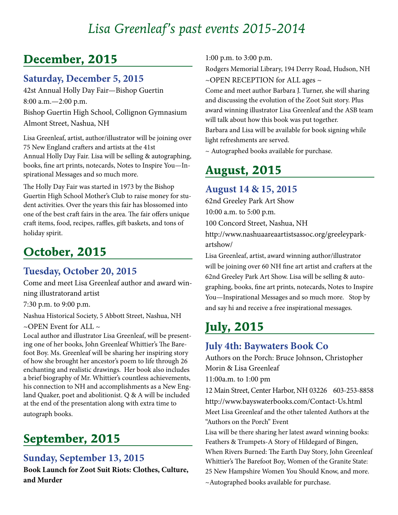# *Lisa Greenleaf's past events 2015-2014*

## **December, 2015**

### **Saturday, December 5, 2015**

42st Annual Holly Day Fair—Bishop Guertin 8:00 a.m.—2:00 p.m. Bishop Guertin High School, Collignon Gymnasium Almont Street, Nashua, NH

Lisa Greenleaf, artist, author/illustrator will be joining over 75 New England crafters and artists at the 41st Annual Holly Day Fair. Lisa will be selling & autographing, books, fine art prints, notecards, Notes to Inspire You—Inspirational Messages and so much more.

The Holly Day Fair was started in 1973 by the Bishop Guertin High School Mother's Club to raise money for student activities. Over the years this fair has blossomed into one of the best craft fairs in the area. The fair offers unique craft items, food, recipes, raffles, gift baskets, and tons of holiday spirit.

## **October, 2015**

### **Tuesday, October 20, 2015**

Come and meet Lisa Greenleaf author and award winning illustratorand artist

7:30 p.m. to 9:00 p.m.

Nashua Historical Society, 5 Abbott Street, Nashua, NH

 $\sim$ OPEN Event for ALL  $\sim$ 

Local author and illustrator Lisa Greenleaf, will be presenting one of her books, John Greenleaf Whittier's The Barefoot Boy. Ms. Greenleaf will be sharing her inspiring story of how she brought her ancestor's poem to life through 26 enchanting and realistic drawings. Her book also includes a brief biography of Mr. Whittier's countless achievements, his connection to NH and accomplishments as a New England Quaker, poet and abolitionist. Q & A will be included at the end of the presentation along with extra time to autograph books.

# **September, 2015**

### **Sunday, September 13, 2015**

**Book Launch for Zoot Suit Riots: Clothes, Culture, and Murder**

1:00 p.m. to 3:00 p.m.

Rodgers Memorial Library, 194 Derry Road, Hudson, NH  $\sim$ OPEN RECEPTION for ALL ages  $\sim$ 

Come and meet author Barbara J. Turner, she will sharing and discussing the evolution of the Zoot Suit story. Plus award winning illustrator Lisa Greenleaf and the ASB team will talk about how this book was put together.

Barbara and Lisa will be available for book signing while light refreshments are served.

~ Autographed books available for purchase.

# **August, 2015**

### **August 14 & 15, 2015**

62nd Greeley Park Art Show 10:00 a.m. to 5:00 p.m.

100 Concord Street, Nashua, NH

http://www.nashuaareaartistsassoc.org/greeleyparkartshow/

Lisa Greenleaf, artist, award winning author/illustrator will be joining over 60 NH fine art artist and crafters at the 62nd Greeley Park Art Show. Lisa will be selling & autographing, books, fine art prints, notecards, Notes to Inspire You—Inspirational Messages and so much more. Stop by and say hi and receive a free inspirational messages.

# **July, 2015**

### **July 4th: Baywaters Book Co**

Authors on the Porch: Bruce Johnson, Christopher Morin & Lisa Greenleaf 11:00a.m. to 1:00 pm

12 Main Street, Center Harbor, NH 03226 603-253-8858 http://www.bayswaterbooks.com/Contact-Us.html Meet Lisa Greenleaf and the other talented Authors at the "Authors on the Porch" Event

Lisa will be there sharing her latest award winning books: Feathers & Trumpets-A Story of Hildegard of Bingen, When Rivers Burned: The Earth Day Story, John Greenleaf Whittier's The Barefoot Boy, Women of the Granite State: 25 New Hampshire Women You Should Know, and more. ~Autographed books available for purchase.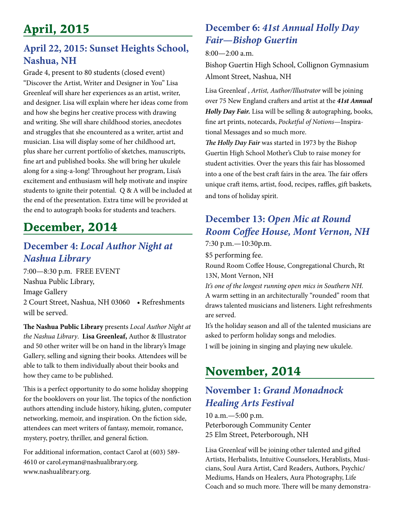# **April, 2015**

## **April 22, 2015: Sunset Heights School, Nashua, NH**

Grade 4, present to 80 students (closed event) "Discover the Artist, Writer and Designer in You" Lisa Greenleaf will share her experiences as an artist, writer, and designer. Lisa will explain where her ideas come from and how she begins her creative process with drawing and writing. She will share childhood stories, anecdotes and struggles that she encountered as a writer, artist and musician. Lisa will display some of her childhood art, plus share her current portfolio of sketches, manuscripts, fine art and published books. She will bring her ukulele along for a sing-a-long! Throughout her program, Lisa's excitement and enthusiasm will help motivate and inspire students to ignite their potential. Q & A will be included at the end of the presentation. Extra time will be provided at the end to autograph books for students and teachers.

# **December, 2014**

### **December 4:** *Local Author Night at Nashua Library*

7:00—8:30 p.m. FREE EVENT Nashua Public Library, Image Gallery 2 Court Street, Nashua, NH 03060 • Refreshments will be served.

**The Nashua Public Library** presents *Local Author Night at the Nashua Library*. **Lisa Greenleaf,** Author & Illustrator and 50 other writer will be on hand in the library's Image Gallery, selling and signing their books. Attendees will be able to talk to them individually about their books and how they came to be published.

This is a perfect opportunity to do some holiday shopping for the booklovers on your list. The topics of the nonfiction authors attending include history, hiking, gluten, computer networking, memoir, and inspiration. On the fiction side, attendees can meet writers of fantasy, memoir, romance, mystery, poetry, thriller, and general fiction.

For additional information, contact Carol at (603) 589- 4610 or carol.eyman@nashualibrary.org. www.nashualibrary.org.

## **December 6:** *41st Annual Holly Day Fair—Bishop Guertin*

8:00—2:00 a.m.

Bishop Guertin High School, Collignon Gymnasium Almont Street, Nashua, NH

Lisa Greenleaf , *Artist, Author/Illustrator* will be joining over 75 New England crafters and artist at the *41st Annual Holly Day Fair.* Lisa will be selling & autographing, books, fine art prints, notecards, *Pocketful of Notions*—Inspirational Messages and so much more.

*The Holly Day Fair* was started in 1973 by the Bishop Guertin High School Mother's Club to raise money for student activities. Over the years this fair has blossomed into a one of the best craft fairs in the area. The fair offers unique craft items, artist, food, recipes, raffles, gift baskets, and tons of holiday spirit.

## **December 13:** *Open Mic at Round Room Coffee House, Mont Vernon, NH*

7:30 p.m.—10:30p.m.

\$5 performing fee.

Round Room Coffee House, Congregational Church, Rt 13N, Mont Vernon, NH

*It's one of the longest running open mics in Southern NH.* A warm setting in an architecturally "rounded" room that draws talented musicians and listeners. Light refreshments are served.

It's the holiday season and all of the talented musicians are asked to perform holiday songs and melodies.

I will be joining in singing and playing new ukulele.

# **November, 2014**

## **November 1:** *Grand Monadnock Healing Arts Festival*

10 a.m.—5:00 p.m. Peterborough Community Center 25 Elm Street, Peterborough, NH

Lisa Greenleaf will be joining other talented and gifted Artists, Herbalists, Intuitive Counselors, Herablists, Musicians, Soul Aura Artist, Card Readers, Authors, Psychic/ Mediums, Hands on Healers, Aura Photography, Life Coach and so much more. There will be many demonstra-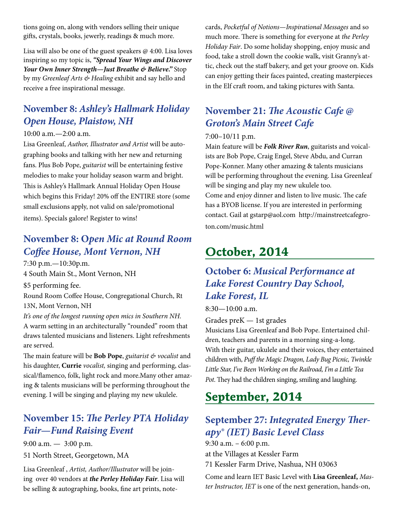tions going on, along with vendors selling their unique gifts, crystals, books, jewerly, readings & much more.

Lisa will also be one of the guest speakers @ 4:00. Lisa loves inspiring so my topic is, *"Spread Your Wings and Discover Your Own Inner Strength—Just Breathe & Believe."* Stop by my *Greenleaf Arts & Healing* exhibit and say hello and receive a free inspirational message.

## **November 8:** *Ashley's Hallmark Holiday Open House, Plaistow, NH*

#### 10:00 a.m.—2:00 a.m.

Lisa Greenleaf, *Author, Illustrator and Artist* will be autographing books and talking with her new and returning fans. Plus Bob Pope, *guitarist* will be entertaining festive melodies to make your holiday season warm and bright. This is Ashley's Hallmark Annual Holiday Open House which begins this Friday! 20% off the ENTIRE store (some small exclusions apply, not valid on sale/promotional items). Specials galore! Register to wins!

## **November 8: O***pen Mic at Round Room Coffee House, Mont Vernon, NH*

7:30 p.m.—10:30p.m. 4 South Main St., Mont Vernon, NH \$5 performing fee. Round Room Coffee House, Congregational Church, Rt 13N, Mont Vernon, NH

*It's one of the longest running open mics in Southern NH.* A warm setting in an architecturally "rounded" room that draws talented musicians and listeners. Light refreshments are served.

The main feature will be **Bob Pope**, *guitarist & vocalist* and his daughter, **Currie** *vocalist,* singing and performing, classical/flamenco, folk, light rock and more.Many other amazing & talents musicians will be performing throughout the evening. I will be singing and playing my new ukulele.

## **November 15:** *The Perley PTA Holiday Fair—Fund Raising Event*

9:00 a.m. — 3:00 p.m.

51 North Street, Georgetown, MA

Lisa Greenleaf , *Artist, Author/Illustrator* will be joining over 40 vendors at *the Perley Holiday Fair*. Lisa will be selling & autographing, books, fine art prints, notecards, *Pocketful of Notions—Inspirational Messages* and so much more. There is something for everyone at *the Perley Holiday Fair*. Do some holiday shopping, enjoy music and food, take a stroll down the cookie walk, visit Granny's attic, check out the staff bakery, and get your groove on. Kids can enjoy getting their faces painted, creating masterpieces in the Elf craft room, and taking pictures with Santa.

## **November 21:** *The Acoustic Cafe @ Groton's Main Street Cafe*

#### 7:00–10/11 p.m.

Main feature will be *Folk River Run*, guitarists and voicalists are Bob Pope, Craig Engel, Steve Abdu, and Curran Pope-Konner. Many other amazing & talents musicians will be performing throughout the evening. Lisa Greenleaf will be singing and play my new ukulele too. Come and enjoy dinner and listen to live music. The cafe has a BYOB license. If you are interested in performing contact. Gail at gstarp@aol.com http://mainstreetcafegroton.com/music.html

# **October, 2014**

## **October 6:** *Musical Performance at Lake Forest Country Day School, Lake Forest, IL*

8:30—10:00 a.m.

Grades preK — 1st grades

Musicians Lisa Greenleaf and Bob Pope. Entertained children, teachers and parents in a morning sing-a-long. With their guitar, ukulele and their voices, they entertained children with, *Puff the Magic Dragon, Lady Bug Picnic, Twinkle Little Star, I've Been Working on the Railroad, I'm a Little Tea Pot*. They had the children singing, smiling and laughing.

# **September, 2014**

## **September 27:** *Integrated Energy Therapy® (IET) Basic Level Class*

9:30 a.m. – 6:00 p.m. at the Villages at Kessler Farm 71 Kessler Farm Drive, Nashua, NH 03063

Come and learn IET Basic Level with **Lisa Greenleaf,** *Master Instructor, IET* is one of the next generation, hands-on,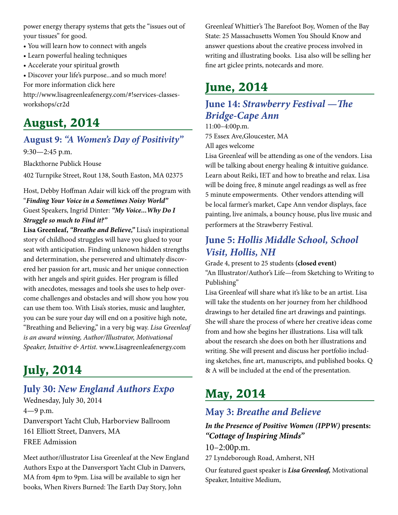power energy therapy systems that gets the "issues out of your tissues" for good.

- You will learn how to connect with angels
- Learn powerful healing techniques
- Accelerate your spiritual growth

• Discover your life's purpose...and so much more!

For more information click here

http://www.lisagreenleafenergy.com/#!services-classesworkshops/cr2d

## **August, 2014**

### **August 9:** *"A Women's Day of Positivity"*

9:30—2:45 p.m.

Blackthorne Publick House

402 Turnpike Street, Rout 138, South Easton, MA 02375

Host, Debby Hoffman Adair will kick off the program with "*Finding Your Voice in a Sometimes Noisy World"* Guest Speakers, Ingrid Dinter: *"My Voice...Why Do I Struggle so much to Find it?"*

**Lisa Greenleaf,** *"Breathe and Believe,"* Lisa's inspirational story of childhood struggles will have you glued to your seat with anticipation. Finding unknown hidden strengths and determination, she persevered and ultimately discovered her passion for art, music and her unique connection with her angels and spirit guides. Her program is filled with anecdotes, messages and tools she uses to help overcome challenges and obstacles and will show you how you can use them too. With Lisa's stories, music and laughter, you can be sure your day will end on a positive high note, "Breathing and Believing," in a very big way. *Lisa Greenleaf is an award winning, Author/Illustrator, Motivational Speaker, Intuitive & Artist.* www.Lisagreenleafenergy.com

# **July, 2014**

### **July 30:** *New England Authors Expo*

Wednesday, July 30, 2014 4—9 p.m. Danversport Yacht Club, Harborview Ballroom 161 Elliott Street, Danvers, MA FREE Admission

Meet author/illustrator Lisa Greenleaf at the New England Authors Expo at the Danversport Yacht Club in Danvers, MA from 4pm to 9pm. Lisa will be available to sign her books, When Rivers Burned: The Earth Day Story, John

Greenleaf Whittier's The Barefoot Boy, Women of the Bay State: 25 Massachusetts Women You Should Know and answer questions about the creative process involved in writing and illustrating books. Lisa also will be selling her fine art giclee prints, notecards and more.

# **June, 2014**

### **June 14:** *Strawberry Festival —The Bridge-Cape Ann*

11:00–4:00p.m. 75 Essex Ave,Gloucester, MA All ages welcome

Lisa Greenleaf will be attending as one of the vendors. Lisa will be talking about energy healing & intuitive guidance. Learn about Reiki, IET and how to breathe and relax. Lisa will be doing free, 8 minute angel readings as well as free 5 minute empowerments. Other vendors attending will be local farmer's market, Cape Ann vendor displays, face painting, live animals, a bouncy house, plus live music and performers at the Strawberry Festival.

## **June 5:** *Hollis Middle School, School Visit, Hollis, NH*

Grade 4, present to 25 students **(closed event)** "An Illustrator/Author's Life—from Sketching to Writing to Publishing"

Lisa Greenleaf will share what it's like to be an artist. Lisa will take the students on her journey from her childhood drawings to her detailed fine art drawings and paintings. She will share the process of where her creative ideas come from and how she begins her illustrations. Lisa will talk about the research she does on both her illustrations and writing. She will present and discuss her portfolio including sketches, fine art, manuscripts, and published books. Q & A will be included at the end of the presentation.

# **May, 2014**

### **May 3:** *Breathe and Believe*

*In the Presence of Positive Women (IPPW)* **presents:** *"Cottage of Inspiring Minds"*

10–2:00p.m.

27 Lyndeborough Road, Amherst, NH

Our featured guest speaker is *Lisa Greenleaf,* Motivational Speaker, Intuitive Medium,